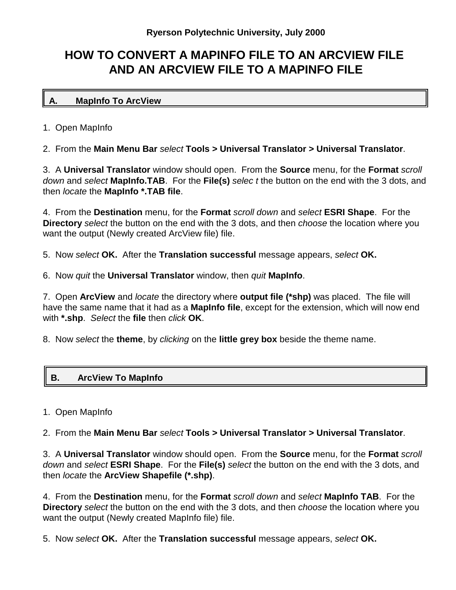## **HOW TO CONVERT A MAPINFO FILE TO AN ARCVIEW FILE AND AN ARCVIEW FILE TO A MAPINFO FILE**

## **A. MapInfo To ArcView**

1. Open MapInfo

2. From the **Main Menu Bar** *select* **Tools > Universal Translator > Universal Translator**.

3. A **Universal Translator** window should open. From the **Source** menu, for the **Format** *scroll down* and *select* **MapInfo.TAB**. For the **File(s)** *selec t* the button on the end with the 3 dots, and then *locate* the **MapInfo \*.TAB file**.

4. From the **Destination** menu, for the **Format** *scroll down* and *select* **ESRI Shape**. For the **Directory** *select* the button on the end with the 3 dots, and then *choose* the location where you want the output (Newly created ArcView file) file.

5. Now *select* **OK.** After the **Translation successful** message appears, *select* **OK.**

6. Now *quit* the **Universal Translator** window, then *quit* **MapInfo**.

7. Open **ArcView** and *locate* the directory where **output file (\*shp)** was placed. The file will have the same name that it had as a **MapInfo file**, except for the extension, which will now end with **\*.shp**. *Select* the **file** then *click* **OK**.

8. Now *select* the **theme**, by *clicking* on the **little grey box** beside the theme name.

## **B. ArcView To MapInfo**

1. Open MapInfo

2. From the **Main Menu Bar** *select* **Tools > Universal Translator > Universal Translator**.

3. A **Universal Translator** window should open. From the **Source** menu, for the **Format** *scroll down* and *select* **ESRI Shape**. For the **File(s)** *select* the button on the end with the 3 dots, and then *locate* the **ArcView Shapefile (\*.shp)**.

4. From the **Destination** menu, for the **Format** *scroll down* and *select* **MapInfo TAB**. For the **Directory** *select* the button on the end with the 3 dots, and then *choose* the location where you want the output (Newly created MapInfo file) file.

5. Now *select* **OK.** After the **Translation successful** message appears, *select* **OK.**